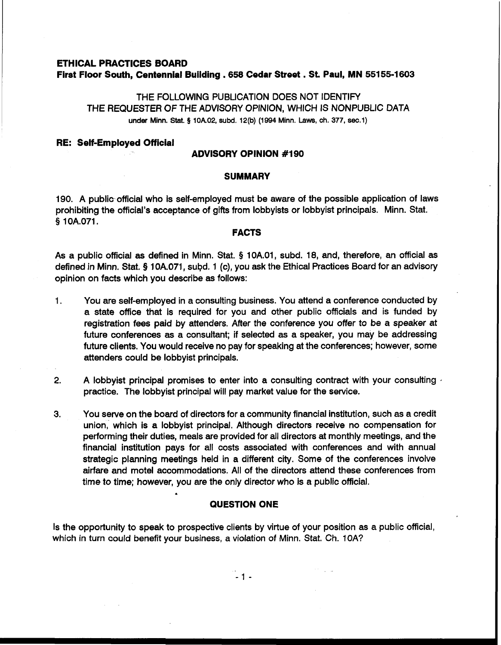# **ETHICAL PRACTICES BOARD First Floor South, Centennial Building .658 Cedar Street** . **St. Paul, MN 55155-1 <sup>603</sup>**

THE FOLLOWING PUBLICATION DOES NOT IDENTIFY THE REQUESTER OF THE ADVISORY OPINION, WHICH IS NONPUBLIC DATA under Minn. Stat. **5 10A.02, subd. 12(b) (1994** Minn. **Laws,** ch. 377, **sec.1)** 

#### **RE: Self-Employed Official**

## **ADVISORY OPINION #I90**

#### **SUMMARY**

190. A public official who is self-employed must be aware of the possible application of laws prohibiting the official's acceptance of gifts from lobbyists or lobbyist principals. Minn. Stat. **9** 10A.071.

#### **FACTS**

As a public official as defined in Minn. Stat. **9** 10A.01, subd. 18, and, therefore, an official as defined in Minn. Stat. § 10A.071, subd. 1 (c), you ask the Ethical Practices Board for an advisory opinion on facts which you describe as follows:

- 1. You are self-employed in a consulting business. You attend a conference conducted by a state office that is required for you and other public officials and is funded by registration fees paid by attenders. After the conference you offer to be a speaker at future conferences as a consultant; if selected as a speaker, you may be addressing future clients. You would receive no pay for speaking at the conferences; however, some attenders could be lobbyist principals.
- **2.** A lobbyist principal promises to enter into a consulting contract with your consulting , practice. The lobbyist principal will pay market value for the service.
- **3.** You serve on the board of directors for a community financial institution, such as a credit union, which is a lobbyist principal. Although directors receive no compensation for performing their duties, meals are provided for all directors at monthly meetings, and the financial institution pays for all costs associated with conferences and with annual strategic planning meetings held in a different city. Some of the conferences involve airfare and motel accommodations. All of the directors attend these conferences from time to time; however, you are the only director who is a public official.

# **QUESTION ONE**

Is the opportunity to speak to prospective clients by virtue of your position as a public official, which in turn could benefit your business, a violation of Minn. Stat. Ch. 10A?

 $-1 -$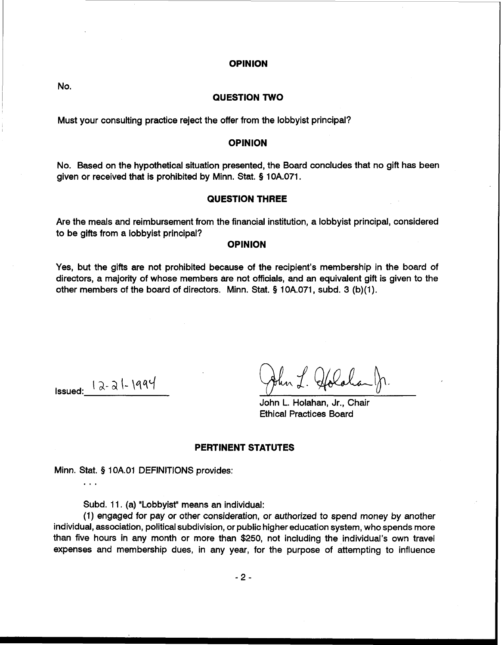### **OPINION**

No.

# **QUESTION TWO**

Must your consulting practice reject the offer from the lobbyist principal?

## **OPINION**

No. Based on the hypothetical situation presented, the Board concludes that no gift has been given or received that is prohibited by Minn. Stat. **9** 10A.071.

### **QUESTION THREE**

Are the meals and reimbursement from the financial institution, a lobbyist principal, considered to be gifts from a lobbyist principal?

# **OPINION**

Yes, but the gifts are not prohibited because of the recipient's membership in the board of directors, a majority of whose members are not officials, and an equivalent gift is given to the other members of the board of directors. Minn. Stat. **9** 10A.071, subd. 3 (b)(l).

...

 $\downarrow \qquad \qquad \downarrow \qquad \qquad \downarrow \qquad \qquad \downarrow \qquad \qquad \downarrow \qquad \downarrow \qquad \downarrow \qquad \downarrow \qquad \downarrow \qquad \downarrow \qquad \downarrow \qquad \downarrow \qquad \downarrow \qquad \downarrow \qquad \downarrow \qquad \downarrow \qquad \downarrow \qquad \downarrow \qquad \downarrow \qquad \downarrow \qquad \downarrow \qquad \downarrow \qquad \downarrow \qquad \downarrow \qquad \downarrow \qquad \downarrow \qquad \downarrow \qquad \downarrow \qquad \downarrow \qquad \downarrow \qquad \downarrow \qquad \downarrow \qquad \downarrow \qquad \downarrow \qquad \downarrow \$ 

John L. Holahan, Jr., Chair Ethical Practices Board

## **PERTINENT STATUTES**

Minn. Stat. **9** 1 OA.O1 DEFINITIONS provides:

Subd. 11. (a) "Lobbyist" means an individual:

(1) engaged for pay or other consideration, or authorized to spend money by another individual, association, political subdivision, or public higher education system, who spends more than five hours in any month or more than \$250, not including the individual's own travel expenses and membership dues, in any year, for the purpose of attempting to influence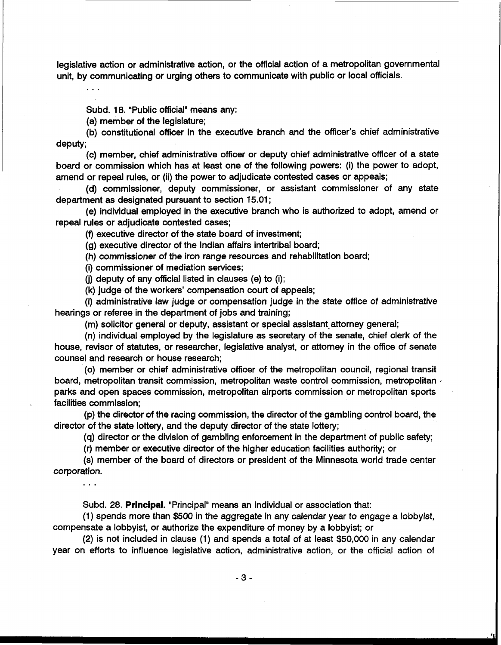legislative action or administrative action, or the official action of a metropolitan governmental unit, by communicating or urging others to communicate with public or local officials.

Subd. 18. 'Public official" means any:

(a) member of the legislature;

 $\ddotsc$ 

(b) constitutional officer in the executive branch and the officer's chief administrative deputy;

(c) member, chief administrative officer or deputy chief administrative officer of a state board or commission which has at least one of the following powers: (i) the power to adopt, amend or repeal rules, or (ii) the power to adjudicate contested cases or appeals;

(d) commissioner, deputy commissioner, or assistant commissioner of any state department as designated pursuant to section 15.01 ;

(e) individual employed in the executive branch who is authorized to adopt, amend or repeal rules or adjudicate contested cases;

(9 executive director of the state board of investment;

(g) executive director of the Indian affairs intertribal board;

(h) commissioner of the iron range resources and rehabilitation board;

(i) commissioner of mediation services;

(i) deputy of any official listed in clauses (e) to (i);

(k) judge of the workers' compensation court of appeals;

(I) administrative law judge or compensation judge in the state office of administrative hearings or referee in the department of jobs and training;

(m) solicitor general or deputy, assistant or special assistant attorney general;

(n) individual employed by the legislature as secretary of the senate, chief clerk of the house, revisor of statutes, or researcher, legislative analyst, or attorney in the office of senate counsel and research or house research;

(0) member or chief administrative officer of the metropolitan council, regional transit board, metropolitan transit commission, metropolitan waste control commission, metropolitan  $\overline{\cdot}$ parks and open spaces commission, metropolitan airports commission or metropolitan sports facilities commission;

(p) the director of the racing commission, the director of the gambling control board, the director of the state lottery, and the deputy director of the state lottery;

(q) director or the division of gambling enforcement in the department of public safety;

(r) member or executive director of the higher education facilities authority; or

(s) member of the board of directors or president of the Minnesota world trade center corporation.

. . .

Subd. 28. Principal. "Principal" means an individual or association that:

(1) spends more than \$500 in the aggregate in any calendar year to engage a lobbyist, compensate a lobbyist, or authorize the expenditure of money by a lobbyist; or

(2) is not included in clause (1) and spends a total of at least \$50,000 in any calendar year on efforts to influence legislative action, administrative action, or the official action of

 $-3-$